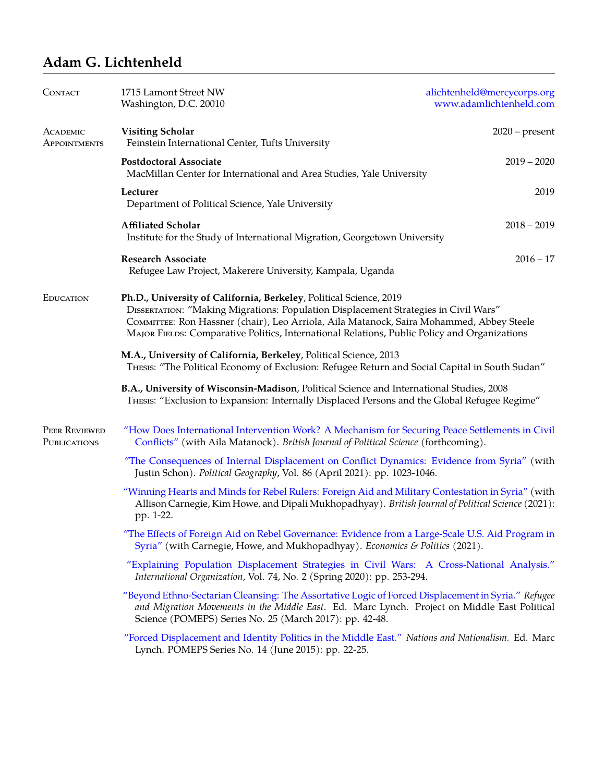## **Adam G. Lichtenheld**

| CONTACT                       | 1715 Lamont Street NW<br>Washington, D.C. 20010                                                                                                                                                                                                                                                                                                       | alichtenheld@mercycorps.org<br>www.adamlichtenheld.com |
|-------------------------------|-------------------------------------------------------------------------------------------------------------------------------------------------------------------------------------------------------------------------------------------------------------------------------------------------------------------------------------------------------|--------------------------------------------------------|
| ACADEMIC<br>APPOINTMENTS      | <b>Visiting Scholar</b><br>Feinstein International Center, Tufts University                                                                                                                                                                                                                                                                           | $2020$ – present                                       |
|                               | <b>Postdoctoral Associate</b><br>MacMillan Center for International and Area Studies, Yale University                                                                                                                                                                                                                                                 | $2019 - 2020$                                          |
|                               | Lecturer<br>Department of Political Science, Yale University                                                                                                                                                                                                                                                                                          | 2019                                                   |
|                               | <b>Affiliated Scholar</b><br>Institute for the Study of International Migration, Georgetown University                                                                                                                                                                                                                                                | $2018 - 2019$                                          |
|                               | <b>Research Associate</b><br>Refugee Law Project, Makerere University, Kampala, Uganda                                                                                                                                                                                                                                                                | $2016 - 17$                                            |
| EDUCATION                     | Ph.D., University of California, Berkeley, Political Science, 2019<br>DISSERTATION: "Making Migrations: Population Displacement Strategies in Civil Wars"<br>COMMITTEE: Ron Hassner (chair), Leo Arriola, Aila Matanock, Saira Mohammed, Abbey Steele<br>MAJOR FIELDS: Comparative Politics, International Relations, Public Policy and Organizations |                                                        |
|                               | M.A., University of California, Berkeley, Political Science, 2013<br>THESIS: "The Political Economy of Exclusion: Refugee Return and Social Capital in South Sudan"                                                                                                                                                                                   |                                                        |
|                               | B.A., University of Wisconsin-Madison, Political Science and International Studies, 2008<br>THESIS: "Exclusion to Expansion: Internally Displaced Persons and the Global Refugee Regime"                                                                                                                                                              |                                                        |
| PEER REVIEWED<br>PUBLICATIONS | "How Does International Intervention Work? A Mechanism for Securing Peace Settlements in Civil<br>Conflicts" (with Aila Matanock). British Journal of Political Science (forthcoming).                                                                                                                                                                |                                                        |
|                               | "The Consequences of Internal Displacement on Conflict Dynamics: Evidence from Syria" (with<br>Justin Schon). Political Geography, Vol. 86 (April 2021): pp. 1023-1046.                                                                                                                                                                               |                                                        |
|                               | "Winning Hearts and Minds for Rebel Rulers: Foreign Aid and Military Contestation in Syria" (with<br>Allison Carnegie, Kim Howe, and Dipali Mukhopadhyay). British Journal of Political Science (2021):<br>pp. 1-22.                                                                                                                                  |                                                        |
|                               | "The Effects of Foreign Aid on Rebel Governance: Evidence from a Large-Scale U.S. Aid Program in<br>Syria" (with Carnegie, Howe, and Mukhopadhyay). Economics & Politics (2021).                                                                                                                                                                      |                                                        |
|                               | "Explaining Population Displacement Strategies in Civil Wars: A Cross-National Analysis."<br>International Organization, Vol. 74, No. 2 (Spring 2020): pp. 253-294.                                                                                                                                                                                   |                                                        |
|                               | "Beyond Ethno-Sectarian Cleansing: The Assortative Logic of Forced Displacement in Syria." Refugee<br>and Migration Movements in the Middle East. Ed. Marc Lynch. Project on Middle East Political<br>Science (POMEPS) Series No. 25 (March 2017): pp. 42-48.                                                                                         |                                                        |
|                               | "Forced Displacement and Identity Politics in the Middle East." Nations and Nationalism. Ed. Marc<br>Lynch. POMEPS Series No. 14 (June 2015): pp. 22-25.                                                                                                                                                                                              |                                                        |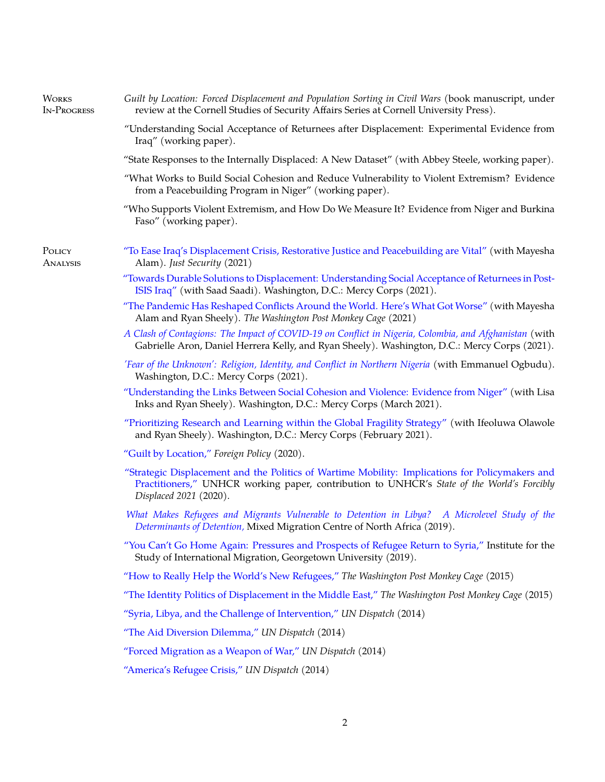| <b>WORKS</b><br><b>IN-PROGRESS</b> | Guilt by Location: Forced Displacement and Population Sorting in Civil Wars (book manuscript, under<br>review at the Cornell Studies of Security Affairs Series at Cornell University Press).                           |  |
|------------------------------------|-------------------------------------------------------------------------------------------------------------------------------------------------------------------------------------------------------------------------|--|
|                                    | "Understanding Social Acceptance of Returnees after Displacement: Experimental Evidence from<br>Iraq" (working paper).                                                                                                  |  |
|                                    | "State Responses to the Internally Displaced: A New Dataset" (with Abbey Steele, working paper).                                                                                                                        |  |
|                                    | "What Works to Build Social Cohesion and Reduce Vulnerability to Violent Extremism? Evidence<br>from a Peacebuilding Program in Niger" (working paper).                                                                 |  |
|                                    | "Who Supports Violent Extremism, and How Do We Measure It? Evidence from Niger and Burkina<br>Faso" (working paper).                                                                                                    |  |
| POLICY<br>ANALYSIS                 | "To Ease Iraq's Displacement Crisis, Restorative Justice and Peacebuilding are Vital" (with Mayesha<br>Alam). Just Security (2021)                                                                                      |  |
|                                    | "Towards Durable Solutions to Displacement: Understanding Social Acceptance of Returnees in Post-<br>ISIS Iraq" (with Saad Saadi). Washington, D.C.: Mercy Corps (2021).                                                |  |
|                                    | "The Pandemic Has Reshaped Conflicts Around the World. Here's What Got Worse" (with Mayesha<br>Alam and Ryan Sheely). The Washington Post Monkey Cage (2021)                                                            |  |
|                                    | A Clash of Contagions: The Impact of COVID-19 on Conflict in Nigeria, Colombia, and Afghanistan (with<br>Gabrielle Aron, Daniel Herrera Kelly, and Ryan Sheely). Washington, D.C.: Mercy Corps (2021).                  |  |
|                                    | 'Fear of the Unknown': Religion, Identity, and Conflict in Northern Nigeria (with Emmanuel Ogbudu).<br>Washington, D.C.: Mercy Corps (2021).                                                                            |  |
|                                    | "Understanding the Links Between Social Cohesion and Violence: Evidence from Niger" (with Lisa<br>Inks and Ryan Sheely). Washington, D.C.: Mercy Corps (March 2021).                                                    |  |
|                                    | "Prioritizing Research and Learning within the Global Fragility Strategy" (with Ifeoluwa Olawole<br>and Ryan Sheely). Washington, D.C.: Mercy Corps (February 2021).                                                    |  |
|                                    | "Guilt by Location," Foreign Policy (2020).                                                                                                                                                                             |  |
|                                    | "Strategic Displacement and the Politics of Wartime Mobility: Implications for Policymakers and<br>Practitioners," UNHCR working paper, contribution to UNHCR's State of the World's Forcibly<br>Displaced 2021 (2020). |  |
|                                    | What Makes Refugees and Migrants Vulnerable to Detention in Libya? A Microlevel Study of the<br>Determinants of Detention, Mixed Migration Centre of North Africa (2019).                                               |  |
|                                    | "You Can't Go Home Again: Pressures and Prospects of Refugee Return to Syria," Institute for the<br>Study of International Migration, Georgetown University (2019).                                                     |  |
|                                    | "How to Really Help the World's New Refugees," The Washington Post Monkey Cage (2015)                                                                                                                                   |  |
|                                    | "The Identity Politics of Displacement in the Middle East," The Washington Post Monkey Cage (2015)                                                                                                                      |  |
|                                    | "Syria, Libya, and the Challenge of Intervention," UN Dispatch (2014)                                                                                                                                                   |  |
|                                    | "The Aid Diversion Dilemma," UN Dispatch (2014)                                                                                                                                                                         |  |
|                                    | "Forced Migration as a Weapon of War," UN Dispatch (2014)                                                                                                                                                               |  |
|                                    | "America's Refugee Crisis," UN Dispatch (2014)                                                                                                                                                                          |  |
|                                    |                                                                                                                                                                                                                         |  |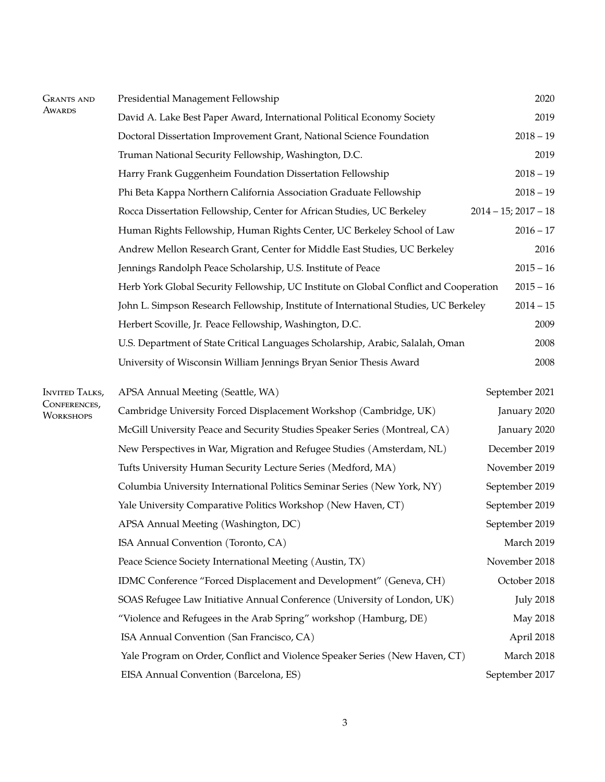| <b>GRANTS AND</b><br><b>AWARDS</b> | Presidential Management Fellowship                                                    | 2020                      |
|------------------------------------|---------------------------------------------------------------------------------------|---------------------------|
|                                    | David A. Lake Best Paper Award, International Political Economy Society               | 2019                      |
|                                    | Doctoral Dissertation Improvement Grant, National Science Foundation                  | $2018 - 19$               |
|                                    | Truman National Security Fellowship, Washington, D.C.                                 | 2019                      |
|                                    | Harry Frank Guggenheim Foundation Dissertation Fellowship                             | $2018 - 19$               |
|                                    | Phi Beta Kappa Northern California Association Graduate Fellowship                    | $2018 - 19$               |
|                                    | Rocca Dissertation Fellowship, Center for African Studies, UC Berkeley                | $2014 - 15$ ; $2017 - 18$ |
|                                    | Human Rights Fellowship, Human Rights Center, UC Berkeley School of Law               | $2016 - 17$               |
|                                    | Andrew Mellon Research Grant, Center for Middle East Studies, UC Berkeley             | 2016                      |
|                                    | Jennings Randolph Peace Scholarship, U.S. Institute of Peace                          | $2015 - 16$               |
|                                    | Herb York Global Security Fellowship, UC Institute on Global Conflict and Cooperation | $2015 - 16$               |
|                                    | John L. Simpson Research Fellowship, Institute of International Studies, UC Berkeley  | $2014 - 15$               |
|                                    | Herbert Scoville, Jr. Peace Fellowship, Washington, D.C.                              | 2009                      |
|                                    | U.S. Department of State Critical Languages Scholarship, Arabic, Salalah, Oman        | 2008                      |
|                                    | University of Wisconsin William Jennings Bryan Senior Thesis Award                    | 2008                      |
| <b>INVITED TALKS,</b>              | APSA Annual Meeting (Seattle, WA)                                                     | September 2021            |
| CONFERENCES,<br>WORKSHOPS          | Cambridge University Forced Displacement Workshop (Cambridge, UK)                     | January 2020              |
|                                    | McGill University Peace and Security Studies Speaker Series (Montreal, CA)            | January 2020              |
|                                    | New Perspectives in War, Migration and Refugee Studies (Amsterdam, NL)                | December 2019             |
|                                    | Tufts University Human Security Lecture Series (Medford, MA)                          | November 2019             |
|                                    | Columbia University International Politics Seminar Series (New York, NY)              | September 2019            |
|                                    | Yale University Comparative Politics Workshop (New Haven, CT)                         | September 2019            |
|                                    | APSA Annual Meeting (Washington, DC)                                                  | September 2019            |
|                                    | ISA Annual Convention (Toronto, CA)                                                   | March 2019                |
|                                    | Peace Science Society International Meeting (Austin, TX)                              | November 2018             |
|                                    | IDMC Conference "Forced Displacement and Development" (Geneva, CH)                    | October 2018              |
|                                    | SOAS Refugee Law Initiative Annual Conference (University of London, UK)              | <b>July 2018</b>          |
|                                    | "Violence and Refugees in the Arab Spring" workshop (Hamburg, DE)                     | May 2018                  |
|                                    | ISA Annual Convention (San Francisco, CA)                                             | April 2018                |
|                                    | Yale Program on Order, Conflict and Violence Speaker Series (New Haven, CT)           | March 2018                |
|                                    | EISA Annual Convention (Barcelona, ES)                                                | September 2017            |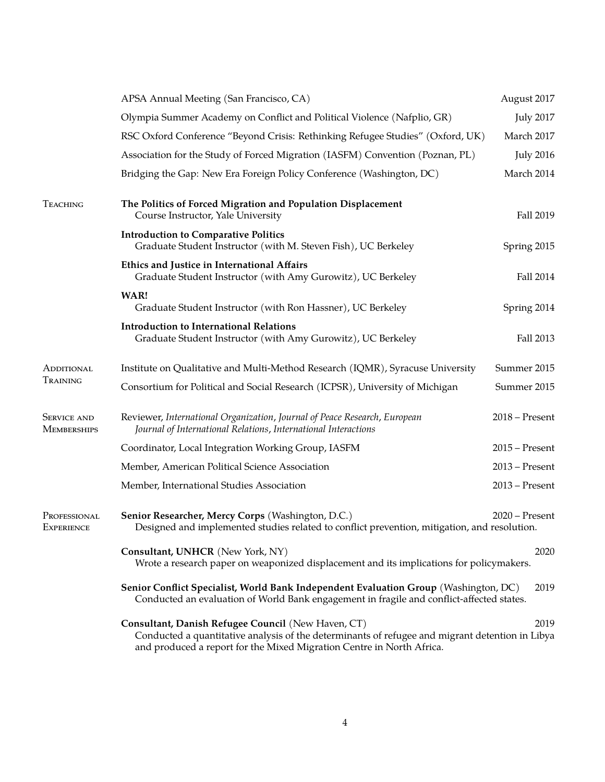|                                          | APSA Annual Meeting (San Francisco, CA)                                                                                                                                                                                        | August 2017      |  |
|------------------------------------------|--------------------------------------------------------------------------------------------------------------------------------------------------------------------------------------------------------------------------------|------------------|--|
|                                          | Olympia Summer Academy on Conflict and Political Violence (Nafplio, GR)                                                                                                                                                        |                  |  |
|                                          | RSC Oxford Conference "Beyond Crisis: Rethinking Refugee Studies" (Oxford, UK)                                                                                                                                                 |                  |  |
|                                          | Association for the Study of Forced Migration (IASFM) Convention (Poznan, PL)                                                                                                                                                  | <b>July 2016</b> |  |
|                                          | Bridging the Gap: New Era Foreign Policy Conference (Washington, DC)                                                                                                                                                           | March 2014       |  |
| <b>TEACHING</b>                          | The Politics of Forced Migration and Population Displacement<br>Course Instructor, Yale University                                                                                                                             | Fall 2019        |  |
|                                          | <b>Introduction to Comparative Politics</b><br>Graduate Student Instructor (with M. Steven Fish), UC Berkeley                                                                                                                  | Spring 2015      |  |
|                                          | Ethics and Justice in International Affairs<br>Graduate Student Instructor (with Amy Gurowitz), UC Berkeley                                                                                                                    | Fall 2014        |  |
|                                          | WAR!<br>Graduate Student Instructor (with Ron Hassner), UC Berkeley                                                                                                                                                            | Spring 2014      |  |
|                                          | <b>Introduction to International Relations</b><br>Graduate Student Instructor (with Amy Gurowitz), UC Berkeley                                                                                                                 | Fall 2013        |  |
| ADDITIONAL<br>TRAINING                   | Institute on Qualitative and Multi-Method Research (IQMR), Syracuse University                                                                                                                                                 | Summer 2015      |  |
|                                          | Consortium for Political and Social Research (ICPSR), University of Michigan                                                                                                                                                   | Summer 2015      |  |
| <b>SERVICE AND</b><br><b>MEMBERSHIPS</b> | Reviewer, International Organization, Journal of Peace Research, European<br>Journal of International Relations, International Interactions                                                                                    | $2018$ – Present |  |
|                                          | Coordinator, Local Integration Working Group, IASFM                                                                                                                                                                            | $2015$ – Present |  |
|                                          | Member, American Political Science Association                                                                                                                                                                                 | $2013$ – Present |  |
|                                          | Member, International Studies Association                                                                                                                                                                                      | $2013$ – Present |  |
| PROFESSIONAL<br><b>EXPERIENCE</b>        | Senior Researcher, Mercy Corps (Washington, D.C.)<br>Designed and implemented studies related to conflict prevention, mitigation, and resolution.                                                                              | $2020$ – Present |  |
|                                          | Consultant, UNHCR (New York, NY)<br>Wrote a research paper on weaponized displacement and its implications for policymakers.                                                                                                   | 2020             |  |
|                                          | Senior Conflict Specialist, World Bank Independent Evaluation Group (Washington, DC)<br>2019<br>Conducted an evaluation of World Bank engagement in fragile and conflict-affected states.                                      |                  |  |
|                                          | Consultant, Danish Refugee Council (New Haven, CT)<br>Conducted a quantitative analysis of the determinants of refugee and migrant detention in Libya<br>and produced a report for the Mixed Migration Centre in North Africa. | 2019             |  |